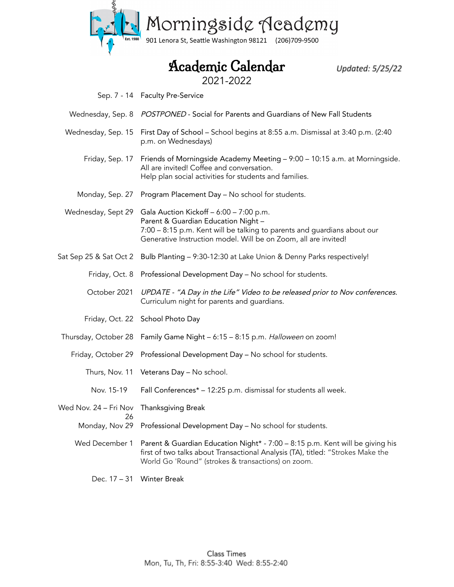

## Academic Calendar

Updated: 5/25/22

2021-2022

- Sep. 7 14 Faculty Pre-Service
- Wednesday, Sep. 8 POSTPONED Social for Parents and Guardians of New Fall Students
- Wednesday, Sep. 15 First Day of School School begins at 8:55 a.m. Dismissal at 3:40 p.m. (2:40 p.m. on Wednesdays)
	- Friday, Sep. 17 Friends of Morningside Academy Meeting 9:00 10:15 a.m. at Morningside. All are invited! Coffee and conversation. Help plan social activities for students and families.
	- Monday, Sep. 27 Program Placement Day No school for students.
- Wednesday, Sept 29 Gala Auction Kickoff 6:00 7:00 p.m. Parent & Guardian Education Night – 7:00 – 8:15 p.m. Kent will be talking to parents and guardians about our Generative Instruction model. Will be on Zoom, all are invited!
- Sat Sep 25 & Sat Oct 2 Bulb Planting 9:30-12:30 at Lake Union & Denny Parks respectively!
	- Friday, Oct. 8 Professional Development Day No school for students.
	- October 2021 UPDATE "A Day in the Life" Video to be released prior to Nov conferences. Curriculum night for parents and guardians.
	- Friday, Oct. 22 School Photo Day
- Thursday, October 28 Family Game Night 6:15 8:15 p.m. *Halloween* on zoom!
	- Friday, October 29 Professional Development Day No school for students.
		- Thurs, Nov. 11 Veterans Day No school.
		- Nov. 15-19 Fall Conferences\* – 12:25 p.m. dismissal for students all week.
- Wed Nov. 24 Fri Nov Thanksgiving Break 26
	- Monday, Nov 29 Professional Development Day No school for students.
	- Wed December 1 Parent & Guardian Education Night\* 7:00 8:15 p.m. Kent will be giving his first of two talks about Transactional Analysis (TA), titled: "Strokes Make the World Go 'Round" (strokes & transactions) on zoom.

Dec. 17 – 31 Winter Break